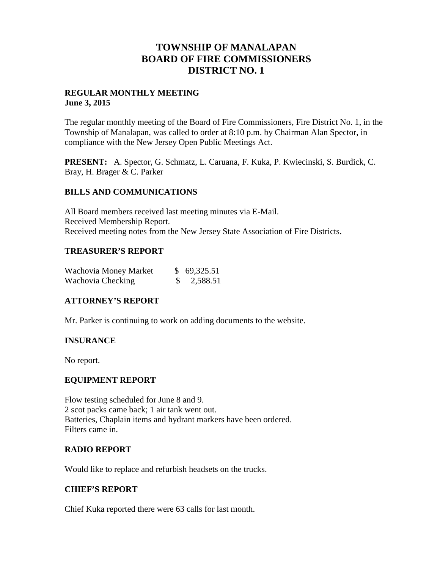## **TOWNSHIP OF MANALAPAN BOARD OF FIRE COMMISSIONERS DISTRICT NO. 1**

## **REGULAR MONTHLY MEETING June 3, 2015**

The regular monthly meeting of the Board of Fire Commissioners, Fire District No. 1, in the Township of Manalapan, was called to order at 8:10 p.m. by Chairman Alan Spector, in compliance with the New Jersey Open Public Meetings Act.

**PRESENT:** A. Spector, G. Schmatz, L. Caruana, F. Kuka, P. Kwiecinski, S. Burdick, C. Bray, H. Brager & C. Parker

## **BILLS AND COMMUNICATIONS**

All Board members received last meeting minutes via E-Mail. Received Membership Report. Received meeting notes from the New Jersey State Association of Fire Districts.

## **TREASURER'S REPORT**

| Wachovia Money Market | \$69,325.51   |
|-----------------------|---------------|
| Wachovia Checking     | $\$ 2,588.51$ |

## **ATTORNEY'S REPORT**

Mr. Parker is continuing to work on adding documents to the website.

## **INSURANCE**

No report.

## **EQUIPMENT REPORT**

Flow testing scheduled for June 8 and 9. 2 scot packs came back; 1 air tank went out. Batteries, Chaplain items and hydrant markers have been ordered. Filters came in.

## **RADIO REPORT**

Would like to replace and refurbish headsets on the trucks.

## **CHIEF'S REPORT**

Chief Kuka reported there were 63 calls for last month.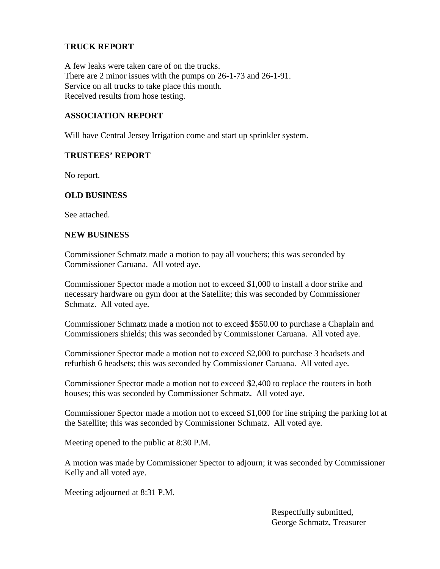## **TRUCK REPORT**

A few leaks were taken care of on the trucks. There are 2 minor issues with the pumps on 26-1-73 and 26-1-91. Service on all trucks to take place this month. Received results from hose testing.

## **ASSOCIATION REPORT**

Will have Central Jersey Irrigation come and start up sprinkler system.

#### **TRUSTEES' REPORT**

No report.

## **OLD BUSINESS**

See attached.

#### **NEW BUSINESS**

Commissioner Schmatz made a motion to pay all vouchers; this was seconded by Commissioner Caruana. All voted aye.

Commissioner Spector made a motion not to exceed \$1,000 to install a door strike and necessary hardware on gym door at the Satellite; this was seconded by Commissioner Schmatz. All voted aye.

Commissioner Schmatz made a motion not to exceed \$550.00 to purchase a Chaplain and Commissioners shields; this was seconded by Commissioner Caruana. All voted aye.

Commissioner Spector made a motion not to exceed \$2,000 to purchase 3 headsets and refurbish 6 headsets; this was seconded by Commissioner Caruana. All voted aye.

Commissioner Spector made a motion not to exceed \$2,400 to replace the routers in both houses; this was seconded by Commissioner Schmatz. All voted aye.

Commissioner Spector made a motion not to exceed \$1,000 for line striping the parking lot at the Satellite; this was seconded by Commissioner Schmatz. All voted aye.

Meeting opened to the public at 8:30 P.M.

A motion was made by Commissioner Spector to adjourn; it was seconded by Commissioner Kelly and all voted aye.

Meeting adjourned at 8:31 P.M.

Respectfully submitted, George Schmatz, Treasurer